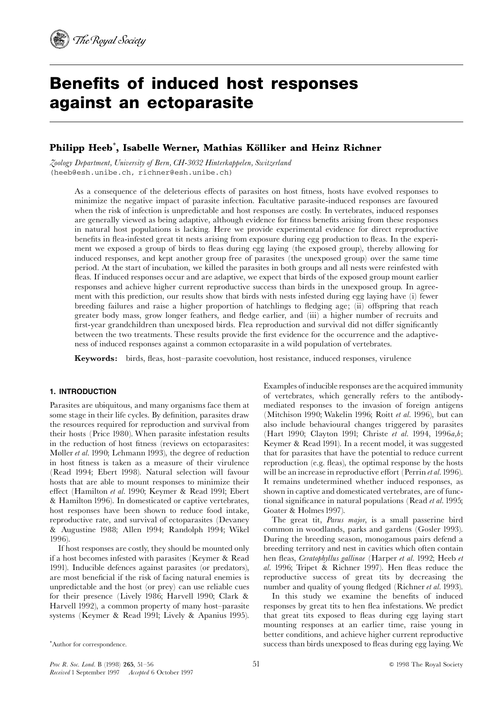# Benefits of induced host responses against an ectoparasite

## Philipp Heeb $^\ast$ , Isabelle Werner, Mathias Kölliker and Heinz Richner

Zoology Department, University of Bern, CH-3032 Hinterkappelen, Switzerland (heeb@esh.unibe.ch, richner@esh.unibe.ch)

> As a consequence of the deleterious effects of parasites on host fitness, hosts have evolved responses to minimize the negative impact of parasite infection. Facultative parasite-induced responses are favoured when the risk of infection is unpredictable and host responses are costly. In vertebrates, induced responses are generally viewed as being adaptive, although evidence for fitness benefits arising from these responses in natural host populations is lacking. Here we provide experimental evidence for direct reproductive benefits in flea-infested great tit nests arising from exposure during egg production to fleas. In the experiment we exposed a group of birds to fleas during egg laying (the exposed group), thereby allowing for induced responses, and kept another group free of parasites (the unexposed group) over the same time period. At the start of incubation, we killed the parasites in both groups and all nests were reinfested with fleas. If induced responses occur and are adaptive, we expect that birds of the exposed group mount earlier responses and achieve higher current reproductive success than birds in the unexposed group. In agreement with this prediction, our results show that birds with nests infested during egg laying have (i) fewer breeding failures and raise a higher proportion of hatchlings to fledging age; (ii) offspring that reach greater body mass, grow longer feathers, and £edge earlier, and (iii) a higher number of recruits and first-year grandchildren than unexposed birds. Flea reproduction and survival did not differ significantly between the two treatments. These results provide the first evidence for the occurrence and the adaptiveness of induced responses against a common ectoparasite in a wild population of vertebrates.

Keywords: birds, fleas, host-parasite coevolution, host resistance, induced responses, virulence

## 1. INTRODUCTION

Parasites are ubiquitous, and many organisms face them at some stage in their life cycles. By definition, parasites draw the resources required for reproduction and survival from their hosts (Price 1980). When parasite infestation results in the reduction of host fitness (reviews on ectoparasites: Møller et al. 1990; Lehmann 1993), the degree of reduction in host fitness is taken as a measure of their virulence (Read 1994; Ebert 1998). Natural selection will favour hosts that are able to mount responses to minimize their effect (Hamilton et al. 1990; Keymer & Read 1991; Ebert & Hamilton 1996). In domesticated or captive vertebrates, host responses have been shown to reduce food intake, reproductive rate, and survival of ectoparasites (Devaney & Augustine 1988; Allen 1994; Randolph 1994; Wikel 1996).

If host responses are costly, they should be mounted only if a host becomes infested with parasites (Keymer & Read 1991). Inducible defences against parasites (or predators), are most beneficial if the risk of facing natural enemies is unpredictable and the host (or prey) can use reliable cues for their presence (Lively 1986; Harvell 1990; Clark & Harvell 1992), a common property of many host^parasite systems (Keymer & Read 1991; Lively & Apanius 1995). Examples of inducible responses are the acquired immunity of vertebrates, which generally refers to the antibodymediated responses to the invasion of foreign antigens (Mitchison 1990; Wakelin 1996; Roitt et al. 1996), but can also include behavioural changes triggered by parasites (Hart 1990; Clayton 1991; Christe et al. 1994, 1996a,b; Keymer & Read 1991). In a recent model, it was suggested that for parasites that have the potential to reduce current reproduction (e.g. fleas), the optimal response by the hosts will be an increase in reproductive effort (Perrin et al. 1996). It remains undetermined whether induced responses, as shown in captive and domesticated vertebrates, are of functional significance in natural populations (Read  $et$   $al.$  1995; Goater & Holmes 1997).

The great tit, Parus major, is a small passerine bird common in woodlands, parks and gardens (Gosler 1993). During the breeding season, monogamous pairs defend a breeding territory and nest in cavities which often contain hen fleas, Ceratophyllus gallinae (Harper et al. 1992; Heeb et al. 1996; Tripet & Richner 1997). Hen fleas reduce the reproductive success of great tits by decreasing the number and quality of young fledged (Richner et al. 1993).

In this study we examine the benefits of induced responses by great tits to hen flea infestations. We predict that great tits exposed to fleas during egg laying start mounting responses at an earlier time, raise young in better conditions, and achieve higher current reproductive success than birds unexposed to fleas during egg laying. We

<sup>\*</sup> Author for correspondence.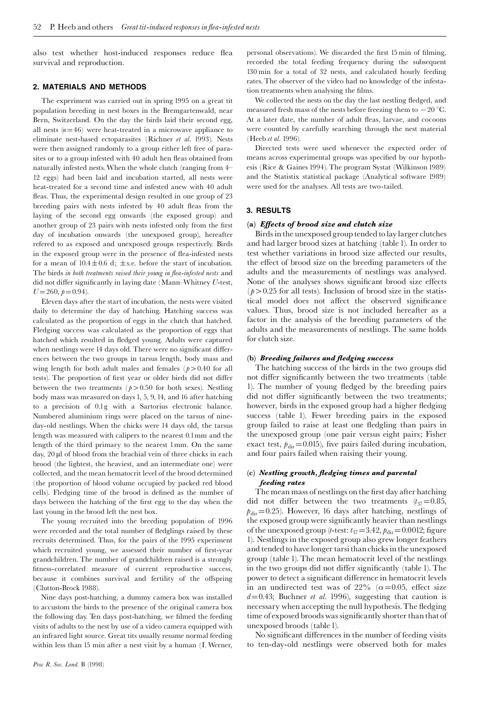also test whether host-induced responses reduce flea survival and reproduction.

## 2. MATERIALS AND METHODS

The experiment was carried out in spring 1995 on a great tit population breeding in nest boxes in the Bremgartenwald, near Bern, Switzerland. On the day the birds laid their second egg, all nests  $(n=46)$  were heat-treated in a microwave appliance to eliminate nest-based ectoparasites (Richner et al. 1993). Nests were then assigned randomly to a group either left free of parasites or to a group infested with 40 adult hen fleas obtained from naturally infested nests.When the whole clutch (ranging from 4^ 12 eggs) had been laid and incubation started, all nests were heat-treated for a second time and infested anew with 40 adult fleas. Thus, the experimental design resulted in one group of 23 breeding pairs with nests infested by 40 adult fleas from the laying of the second egg onwards (the exposed group) and another group of 23 pairs with nests infested only from the first day of incubation onwards (the unexposed group), hereafter refered to as exposed and unexposed groups respectively. Birds in the exposed group were in the presence of flea-infested nests for a mean of  $10.4 \pm 0.6$  d;  $\pm$ s.e. before the start of incubation. The birds in both treatments raised their young in flea-infested nests and did not differ significantly in laying date (Mann-Whitney  $U$ -test,  $U=260, h=0.94$ .

Eleven days after the start of incubation, the nests were visited daily to determine the day of hatching. Hatching success was calculated as the proportion of eggs in the clutch that hatched. Fledging success was calculated as the proportion of eggs that hatched which resulted in fledged young. Adults were captured when nestlings were 14 days old. There were no significant differences between the two groups in tarsus length, body mass and wing length for both adult males and females ( $p > 0.40$  for all tests). The proportion of first year or older birds did not differ between the two treatments ( $p > 0.50$  for both sexes). Nestling body mass was measured on days 1, 5, 9, 14, and 16 after hatching to a precision of 0.1g with a Sartorius electronic balance. Numbered aluminium rings were placed on the tarsus of nineday-old nestlings. When the chicks were 14 days old, the tarsus length was measured with calipers to the nearest 0.1mm and the length of the third primary to the nearest 1mm. On the same day,  $20 \mu$ l of blood from the brachial vein of three chicks in each brood (the lightest, the heaviest, and an intermediate one) were collected, and the mean hematocrit level of the brood determined (the proportion of blood volume occupied by packed red blood cells). Fledging time of the brood is defined as the number of days between the hatching of the first egg to the day when the last young in the brood left the nest box.

The young recruited into the breeding population of 1996 were recorded and the total number of fledglings raised by these recruits determined. Thus, for the pairs of the 1995 experiment which recruited young, we assessed their number of first-year grandchildren. The number of grandchildren raised is a strongly fitness-correlated measure of current reproductive success, because it combines survival and fertility of the offspring (Clutton-Brock 1988).

Nine days post-hatching, a dummy camera box was installed to accustom the birds to the presence of the original camera box the following day. Ten days post-hatching, we filmed the feeding visits of adults to the nest by use of a video camera equipped with an infrared light source. Great tits usually resume normal feeding within less than 15 min after a nest visit by a human (I. Werner,

personal observations). We discarded the first 15 min of filming, recorded the total feeding frequency during the subsequent 130 min for a total of 32 nests, and calculated hourly feeding rates. The observer of the video had no knowledge of the infestation treatments when analysing the films.

We collected the nests on the day the last nestling fledged, and measured fresh mass of the nests before freezing them to  $-20$  °C. At a later date, the number of adult fleas, larvae, and cocoons were counted by carefully searching through the nest material (Heeb et al. 1996).

Directed tests were used whenever the expected order of means across experimental groups was specified by our hypothesis (Rice & Gaines 1994). The program Systat (Wilkinson 1989) and the Statistix statistical package (Analytical software 1989) were used for the analyses. All tests are two-tailed.

#### 3. RESULTS

#### (a) Effects of brood size and clutch size

Birds in the unexposed group tended to lay larger clutches and had larger brood sizes at hatching (table 1). In order to test whether variations in brood size affected our results, the effect of brood size on the breeding parameters of the adults and the measurements of nestlings was analysed. None of the analyses shows significant brood size effects  $(p>0.25$  for all tests). Inclusion of brood size in the statistical model does not affect the observed significance values. Thus, brood size is not included hereafter as a factor in the analysis of the breeding parameters of the adults and the measurements of nestlings. The same holds for clutch size.

#### (b) Breeding failures and fledging success

The hatching success of the birds in the two groups did not differ significantly between the two treatments (table 1). The number of young fledged by the breeding pairs did not differ significantly between the two treatments; however, birds in the exposed group had a higher fledging success (table 1). Fewer breeding pairs in the exposed group failed to raise at least one fledgling than pairs in the unexposed group (one pair versus eight pairs; Fisher exact test,  $p_{\text{dir}}=0.015$ ), five pairs failed during incubation, and four pairs failed when raising their young.

## $(c)$  Nestling growth, fledging times and parental feeding rates

The mean mass of nestlings on the first day after hatching did not differ between the two treatments  $(t_{37}=0.85,$  $p_{\text{dir}}=0.25$ ). However, 16 days after hatching, nestlings of the exposed group were significantly heavier than nestlings of the unexposed group (t-test:  $t_{37}$ =3.42,  $p_{\text{dir}}$ =0.0012; figure 1). Nestlings in the exposed group also grew longer feathers and tended to have longer tarsi than chicks in the unexposed group (table 1). The mean hematocrit level of the nestlings in the two groups did not differ significantly (table 1). The power to detect a significant difference in hematocrit levels in an undirected test was of 22% ( $\alpha$ =0.05, effect size  $d=0.43$ ; Buchner *et al.* 1996), suggesting that caution is necessary when accepting the null hypothesis. The fledging time of exposed broods was significantly shorter than that of unexposed broods (table 1).

No significant differences in the number of feeding visits to ten-day-old nestlings were observed both for males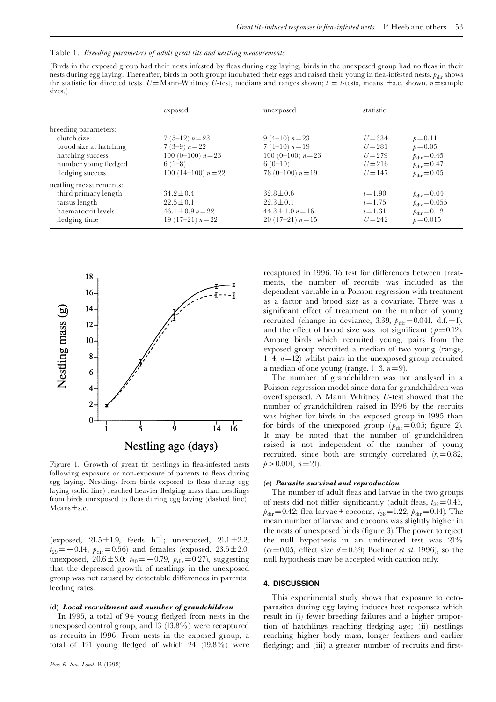|  |  |  |  |  | Table 1. Breeding parameters of adult great tits and nestling measurements |
|--|--|--|--|--|----------------------------------------------------------------------------|
|  |  |  |  |  |                                                                            |

(Birds in the exposed group had their nests infested by fleas during egg laying, birds in the unexposed group had no fleas in their nests during egg laying. Thereafter, birds in both groups incubated their eggs and raised their young in flea-infested nests.  $p_{\text{div}}$  shows the statistic for directed tests. U=Mann-Whitney U-test, medians and ranges shown;  $t = t$ -tests, means  $\pm$ s.e. shown.  $n$ =sample sizes.)

|                                                                                                                               | exposed                                                                                   | unexposed                                                                                 | statistic                                                     |                                                                                                           |
|-------------------------------------------------------------------------------------------------------------------------------|-------------------------------------------------------------------------------------------|-------------------------------------------------------------------------------------------|---------------------------------------------------------------|-----------------------------------------------------------------------------------------------------------|
| breeding parameters:<br>clutch size<br>brood size at hatching<br>hatching success<br>number young fledged<br>fledging success | $7(5-12) n=23$<br>7 (3-9) $n=22$<br>100 (0-100) $n=23$<br>$6(1-8)$<br>100 (14-100) $n=22$ | $9(4-10) n=23$<br>7 (4-10) $n=19$<br>100 (0-100) $n=23$<br>$6(0-10)$<br>78 (0-100) $n=19$ | $U = 334$<br>$U = 281$<br>$U = 279$<br>$U = 216$<br>$U = 147$ | $p = 0.11$<br>$p = 0.05$<br>$p_{\text{dir}} = 0.45$<br>$p_{\text{dir}} = 0.47$<br>$p_{\text{dir}} = 0.05$ |
| nestling measurements:<br>third primary length<br>tarsus length<br>haematocrit levels<br>fledging time                        | $34.2 \pm 0.4$<br>$22.5 \pm 0.1$<br>$46.1 \pm 0.9 n = 22$<br>19 (17-21) $n=22$            | $32.8 \pm 0.6$<br>$22.3 \pm 0.1$<br>$44.3 \pm 1.0 n = 16$<br>$20(17-21) n=15$             | $t = 1.90$<br>$t = 1.75$<br>$t = 1.31$<br>$U = 242$           | $p_{\text{dir}} = 0.04$<br>$p_{\text{dir}} = 0.055$<br>$p_{\text{dir}} = 0.12$<br>$p = 0.015$             |



Figure 1. Growth of great tit nestlings in flea-infested nests following exposure or non-exposure of parents to fleas during egg laying. Nestlings from birds exposed to fleas during egg laying (solid line) reached heavier fledging mass than nestlings from birds unexposed to fleas during egg laying (dashed line).  $Means \pm s.e.$ 

(exposed,  $21.5 \pm 1.9$ , feeds h<sup>-1</sup>; unexposed,  $21.1 \pm 2.2$ ;  $t_{29} = -0.14$ ,  $p_{\text{dir}} = 0.56$ ) and females (exposed,  $23.5 \pm 2.0$ ; unexposed,  $20.6 \pm 3.0$ ;  $t_{30} = -0.79$ ,  $p_{\text{dir}} = 0.27$ ), suggesting that the depressed growth of nestlings in the unexposed group was not caused by detectable differences in parental feeding rates.

### (d) Local recruitment and number of grandchildren

In 1995, a total of 94 young fledged from nests in the unexposed control group, and 13 (13.8%) were recaptured as recruits in 1996. From nests in the exposed group, a total of 121 young fledged of which  $24$  (19.8%) were recaptured in 1996. To test for differences between treatments, the number of recruits was included as the dependent variable in a Poisson regression with treatment as a factor and brood size as a covariate. There was a significant effect of treatment on the number of young recruited (change in deviance, 3.39,  $p_{\text{dir}}=0.041$ , d.f. = 1), and the effect of brood size was not significant ( $p=0.12$ ). Among birds which recruited young, pairs from the exposed group recruited a median of two young (range, 1-4,  $n=12$ ) whilst pairs in the unexposed group recruited a median of one young (range,  $1-3$ ,  $n=9$ ).

The number of grandchildren was not analysed in a Poisson regression model since data for grandchildren was overdispersed. A Mann-Whitney  $U$ -test showed that the number of grandchildren raised in 1996 by the recruits was higher for birds in the exposed group in 1995 than for birds of the unexposed group ( $p_{\text{dir}}=0.05$ ; figure 2). It may be noted that the number of grandchildren raised is not independent of the number of young recruited, since both are strongly correlated  $(r<sub>s</sub>=0.82,$  $p>0.001$ ,  $n=21$ ).

#### (e) Parasite survival and reproduction

The number of adult fleas and larvae in the two groups of nests did not differ significantly (adult fleas,  $t_{38}=0.43$ ,  $p_{\text{dir}}=0.42$ ; flea larvae + cocoons,  $t_{38}=1.22$ ,  $p_{\text{dir}}=0.14$ ). The mean number of larvae and cocoons was slightly higher in the nests of unexposed birds (figure 3). The power to reject the null hypothesis in an undirected test was 21%  $(\alpha=0.05, \text{ effect size } d=0.39; \text{ Buchner } et \text{ al. } 1996)$ , so the null hypothesis may be accepted with caution only.

## 4. DISCUSSION

This experimental study shows that exposure to ectoparasites during egg laying induces host responses which result in (i) fewer breeding failures and a higher proportion of hatchlings reaching fledging age; (ii) nestlings reaching higher body mass, longer feathers and earlier fledging; and (iii) a greater number of recruits and first-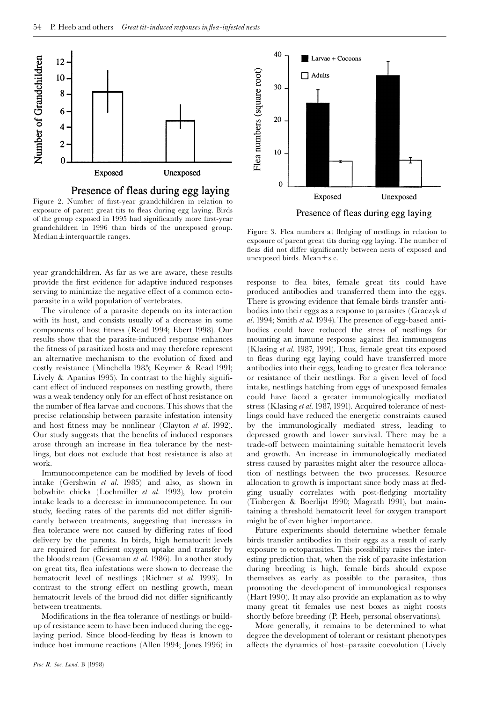

Presence of fleas during egg laying

Figure 2. Number of first-year grandchildren in relation to exposure of parent great tits to fleas during egg laying. Birds of the group exposed in 1995 had significantly more first-year grandchildren in 1996 than birds of the unexposed group. grandchlidren in 1990 than birds of the unexposed group.<br>Median $\pm$ interquartile ranges.

year grandchildren. As far as we are aware, these results provide the first evidence for adaptive induced responses serving to minimize the negative effect of a common ectoparasite in a wild population of vertebrates.

The virulence of a parasite depends on its interaction with its host, and consists usually of a decrease in some components of host fitness (Read 1994; Ebert 1998). Our results show that the parasite-induced response enhances the fitness of parasitized hosts and may therefore represent an alternative mechanism to the evolution of fixed and costly resistance (Minchella 1985; Keymer & Read 1991; Lively & Apanius 1995). In contrast to the highly significant effect of induced responses on nestling growth, there was a weak tendency only for an effect of host resistance on the number of flea larvae and cocoons. This shows that the precise relationship between parasite infestation intensity and host fitness may be nonlinear (Clayton  $et \ al.$  1992). Our study suggests that the benefits of induced responses arose through an increase in flea tolerance by the nestlings, but does not exclude that host resistance is also at work.

Immunocompetence can be modified by levels of food intake (Gershwin et al. 1985) and also, as shown in bobwhite chicks (Lochmiller et al. 1993), low protein intake leads to a decrease in immunocompetence. In our study, feeding rates of the parents did not differ significantly between treatments, suggesting that increases in flea tolerance were not caused by differing rates of food delivery by the parents. In birds, high hematocrit levels are required for efficient oxygen uptake and transfer by the bloodstream (Gessaman et al. 1986). In another study on great tits, flea infestations were shown to decrease the hematocrit level of nestlings (Richner et al. 1993). In contrast to the strong effect on nestling growth, mean hematocrit levels of the brood did not differ significantly between treatments.

Modifications in the flea tolerance of nestlings or buildup of resistance seem to have been induced during the egglaying period. Since blood-feeding by fleas is known to induce host immune reactions (Allen 1994; Jones 1996) in



Presence of fleas during egg laying

exposure of parent great tits during egg laying. The number of fleas did not differ significantly between nests of exposed and unexposed birds. Mean $\pm$ s.e.

response to flea bites, female great tits could have produced antibodies and transferred them into the eggs. There is growing evidence that female birds transfer antibodies into their eggs as a response to parasites (Graczyk et al. 1994; Smith et al. 1994). The presence of egg-based antibodies could have reduced the stress of nestlings for mounting an immune response against flea immunogens (Klasing et al. 1987, 1991). Thus, female great tits exposed to fleas during egg laying could have transferred more antibodies into their eggs, leading to greater flea tolerance or resistance of their nestlings. For a given level of food intake, nestlings hatching from eggs of unexposed females could have faced a greater immunologically mediated stress (Klasing et al. 1987, 1991). Acquired tolerance of nestlings could have reduced the energetic constraints caused by the immunologically mediated stress, leading to depressed growth and lower survival. There may be a trade-off between maintaining suitable hematocrit levels and growth. An increase in immunologically mediated stress caused by parasites might alter the resource allocation of nestlings between the two processes. Resource allocation to growth is important since body mass at fledging usually correlates with post-fledging mortality (Tinbergen & Boerlijst 1990; Magrath 1991), but maintaining a threshold hematocrit level for oxygen transport might be of even higher importance.

Future experiments should determine whether female birds transfer antibodies in their eggs as a result of early exposure to ectoparasites. This possibility raises the interesting prediction that, when the risk of parasite infestation during breeding is high, female birds should expose themselves as early as possible to the parasites, thus promoting the development of immunological responses (Hart 1990). It may also provide an explanation as to why many great tit females use nest boxes as night roosts shortly before breeding (P. Heeb, personal observations).

More generally, it remains to be determined to what degree the development of tolerant or resistant phenotypes affects the dynamics of host-parasite coevolution (Lively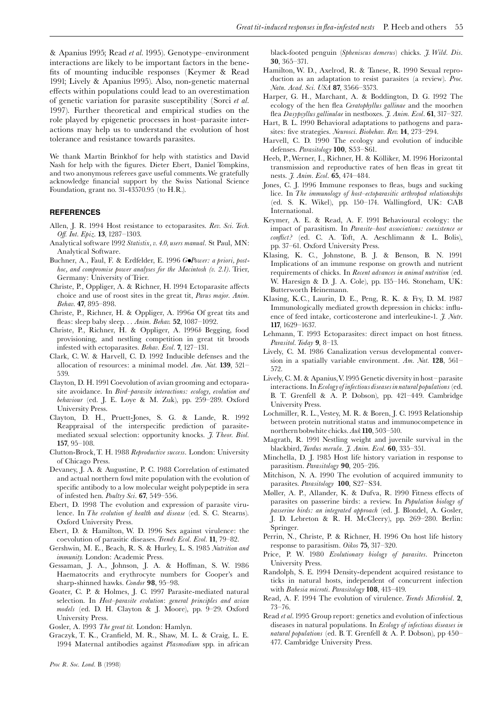& Apanius 1995; Read et al. 1995). Genotype-environment interactions are likely to be important factors in the bene fits of mounting inducible responses (Keymer & Read 1991; Lively & Apanius 1995). Also, non-genetic maternal effects within populations could lead to an overestimation of genetic variation for parasite susceptibility (Sorci et al. 1997). Further theoretical and empirical studies on the role played by epigenetic processes in host^parasite interactions may help us to understand the evolution of host tolerance and resistance towards parasites.

We thank Martin Brinkhof for help with statistics and David Nash for help with the figures. Dieter Ebert, Daniel Tompkins, and two anonymous referees gave useful comments.We gratefully acknowledge financial support by the Swiss National Science Foundation, grant no. 31-43570.95 (to H.R.).

#### REFERENCES

- Allen, J. R. 1994 Host resistance to ectoparasites. Rev. Sci. Tech. Off. Int. Epiz. 13, 1287-1303.
- Analytical software 1992 Statistix, v. 4.0, users manual. St Paul, MN: Analytical Software.
- Buchner, A., Faul, F. & Erdfelder, E. 1996 GoPower: a priori, posthoc, and compromise power analyses for the Macintosh (v. 2.1). Trier, Germany: University of Trier.
- Christe, P., Oppliger, A. & Richner, H. 1994 Ectoparasite affects choice and use of roost sites in the great tit, Parus major. Anim. Behav. 47, 895-898.
- Christe, P., Richner, H. & Oppliger, A. 1996a Of great tits and fleas: sleep baby sleep. . . Anim. Behav. 52, 1087-1092.
- Christe, P., Richner, H. & Oppliger, A. 1996b Begging, food provisioning, and nestling competition in great tit broods infested with ectoparasites. *Behav. Ecol.* **7**,  $127-131$ .
- Clark, C. W. & Harvell, C. D. 1992 Inducible defenses and the allocation of resources: a minimal model. Am. Nat.  $139, 521$ 539.
- Clayton, D. H.1991Coevolution of avian grooming and ectoparasite avoidance. In Bird-parasite interactions: ecology, evolution and behaviour (ed. J. E. Loye & M. Zuk), pp. 259^289. Oxford University Press.
- Clayton, D. H., Pruett-Jones, S. G. & Lande, R. 1992 Reappraisal of the interspecific prediction of parasitemediated sexual selection: opportunity knocks. J. Theor. Biol. 157, 95^108.
- Clutton-Brock, T. H. 1988 Reproductive success. London: University of Chicago Press.
- Devaney, J. A. & Augustine, P. C. 1988 Correlation of estimated and actual northern fowl mite population with the evolution of specific antibody to a low molecular weight polypeptide in sera of infested hen. Poultry Sci. 67, 549-556.
- Ebert, D. 1998 The evolution and expression of parasite virulence. In The evolution of health and disease (ed. S. C. Stearns). Oxford University Press.
- Ebert, D. & Hamilton, W. D. 1996 Sex against virulence: the coevolution of parasitic diseases. Trends Ecol. Evol. 11, 79-82.
- Gershwin, M. E., Beach, R. S. & Hurley, L. S. 1985 Nutrition and immunity. London: Academic Press.
- Gessaman, J. A., Johnson, J. A. & Hoffman, S. W. 1986 Haematocrits and erythrocyte numbers for Cooper's and sharp-shinned hawks. Condor 98, 95-98.
- Goater, C. P. & Holmes, J. C. 1997 Parasite-mediated natural selection. In Host-parasite evolution: general principles and avian models (ed. D. H. Clayton & J. Moore), pp. 9-29. Oxford University Press.

Gosler, A. 1993 The great tit. London: Hamlyn.

Graczyk, T. K., Cran¢eld, M. R., Shaw, M. L. & Craig, L. E. 1994 Maternal antibodies against Plasmodium spp. in african black-footed penguin (Spheniscus demerus) chicks. J. Wild. Dis. 30, 365^371.

- Hamilton, W. D., Axelrod, R. & Tanese, R. 1990 Sexual reproduction as an adaptation to resist parasites (a review). Proc. Natn. Acad. Sci. USA 87, 3566-3573.
- Harper, G. H., Marchant, A. & Boddington, D. G. 1992 The ecology of the hen flea Ceratophyllus gallinae and the moorhen flea Dasypsyllus gallinulae in nestboxes. J. Anim. Ecol. 61, 317-327.
- Hart, B. L. 1990 Behavioral adaptations to pathogens and parasites: five strategies. Neurosci. Biobehav. Rev. 14, 273-294.
- Harvell, C. D. 1990 The ecology and evolution of inducible defenses. Parasitology 100, S53-S61.
- Heeb, P., Werner, I., Richner, H. & Kölliker, M. 1996 Horizontal transmission and reproductive rates of hen fleas in great tit nests. *J. Anim. Ecol.* **65**, 474-484.
- Jones, C. J. 1996 Immune responses to fleas, bugs and sucking lice. In The immunology of host-ectoparasitic arthropod relationships (ed. S. K. Wikel), pp. 150^174. Wallingford, UK: CAB International.
- Keymer, A. E. & Read, A. F. 1991 Behavioural ecology: the impact of parasitism. In *Parasite–host associations: coexistence or* conflict? (ed. C. A. Toft, A. Aeschlimann & L. Bolis), pp. 37^61. Oxford University Press.
- Klasing, K. C., Johnstone, B. J. & Benson, B. N. 1991 Implications of an immune response on growth and nutrient requirements of chicks. In Recent advances in animal nutrition (ed. W. Haresign & D. J. A. Cole), pp. 135^146. Stoneham, UK: Butterworth Heinemann.
- Klasing, K.C., Laurin, D. E., Peng, R. K. & Fry, D. M. 1987 Immunologically mediated growth depression in chicks: influence of feed intake, corticosterone and interleukine-1.  $\tilde{\jmath}$ . Nutr. 117, 1629-1637.
- Lehmann, T. 1993 Ectoparasites: direct impact on host fitness. Parasitol. Today  $9, 8$ -13.
- Lively, C. M. 1986 Canalization versus developmental conversion in a spatially variable environment. Am. Nat. 128, 561– 572.
- Lively, C.M. & Apanius,V.1995 Genetic diversity in host^parasite  $interactions. In *Ecology of infectious diseases in natural populations* (ed.$ B. T. Grenfell & A. P. Dobson), pp. 421^449. Cambridge University Press.
- Lochmiller, R. L.,Vestey, M. R. & Boren, J. C. 1993 Relationship between protein nutritional status and immunocompetence in northern bobwhite chicks. Auk 110, 503-510.
- Magrath, R. 1991 Nestling weight and juvenile survival in the blackbird, Turdus merula. J. Anim. Ecol. 60, 335-351.
- Minchella, D. J. 1985 Host life history variation in response to parasitism. Parasitology 90, 205-216.
- Mitchison, N. A. 1990 The evolution of acquired immunity to parasites. Parasitology 100, S27-S34.
- Møller, A. P., Allander, K. & Dufva, R. 1990 Fitness effects of parasites on passerine birds: a review. In Population biology of passerine birds: an integrated approach (ed. J. Blondel, A. Gosler, J. D. Lebreton & R. H. McCleery), pp. 269-280. Berlin: Springer.
- Perrin, N., Christe, P. & Richner, H. 1996 On host life history response to parasitism.  $Okos$  **75**, 317-320.
- Price, P. W. 1980 Evolutionary biology of parasites. Princeton University Press.
- Randolph, S. E. 1994 Density-dependent acquired resistance to ticks in natural hosts, independent of concurrent infection with Babesia microti. Parasitology 108, 413-419.
- Read, A. F. 1994 The evolution of virulence.Trends Microbiol. 2,  $73 - 76.$
- Read et al. 1995 Group report: genetics and evolution of infectious diseases in natural populations. In Ecology of infectious diseases in natural populations (ed. B. T. Grenfell & A. P. Dobson), pp 450-477. Cambridge University Press.